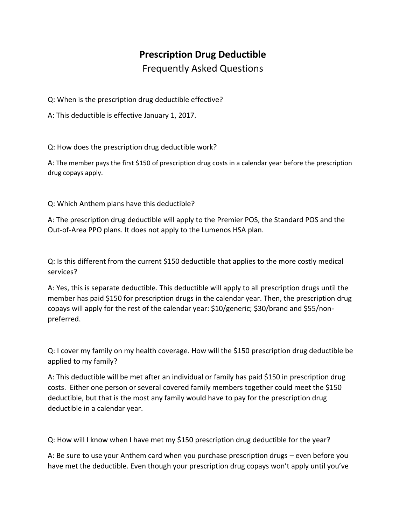## **Prescription Drug Deductible** Frequently Asked Questions

Q: When is the prescription drug deductible effective?

A: This deductible is effective January 1, 2017.

Q: How does the prescription drug deductible work?

A: The member pays the first \$150 of prescription drug costs in a calendar year before the prescription drug copays apply.

Q: Which Anthem plans have this deductible?

A: The prescription drug deductible will apply to the Premier POS, the Standard POS and the Out-of-Area PPO plans. It does not apply to the Lumenos HSA plan.

Q: Is this different from the current \$150 deductible that applies to the more costly medical services?

A: Yes, this is separate deductible. This deductible will apply to all prescription drugs until the member has paid \$150 for prescription drugs in the calendar year. Then, the prescription drug copays will apply for the rest of the calendar year: \$10/generic; \$30/brand and \$55/nonpreferred.

Q: I cover my family on my health coverage. How will the \$150 prescription drug deductible be applied to my family?

A: This deductible will be met after an individual or family has paid \$150 in prescription drug costs. Either one person or several covered family members together could meet the \$150 deductible, but that is the most any family would have to pay for the prescription drug deductible in a calendar year.

Q: How will I know when I have met my \$150 prescription drug deductible for the year?

A: Be sure to use your Anthem card when you purchase prescription drugs – even before you have met the deductible. Even though your prescription drug copays won't apply until you've